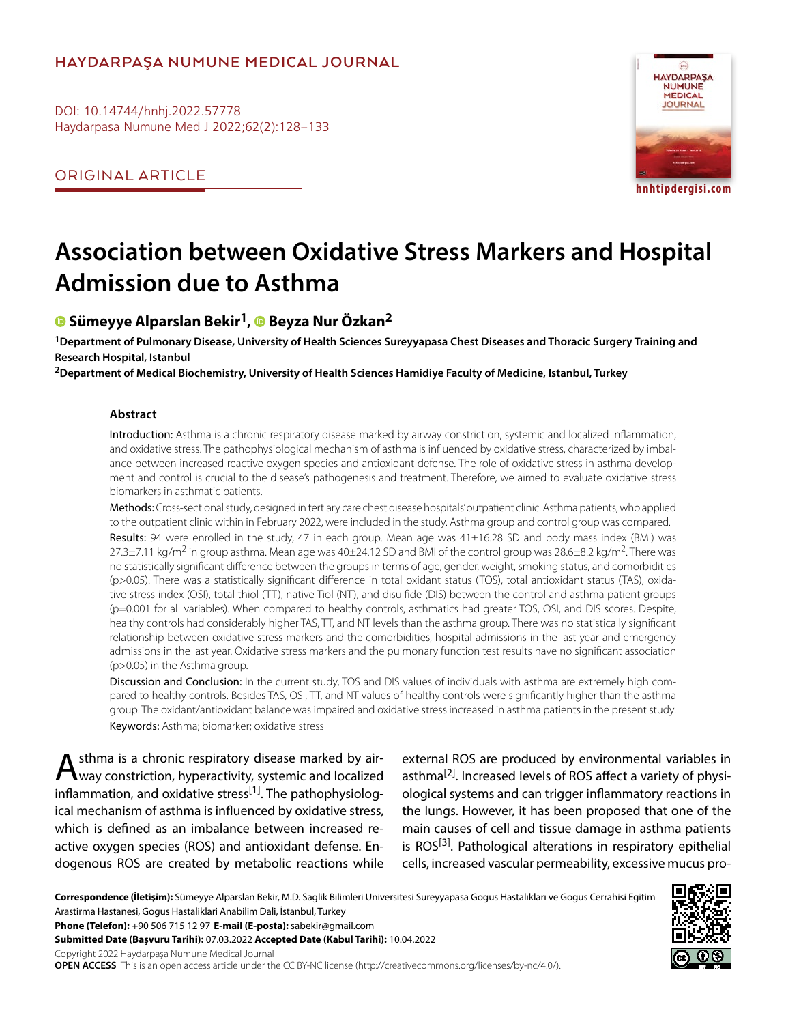# **HAYDARPAŞA NUMUNE MEDICAL JOURNAL**

DOI: 10.14744/hnhj.2022.57778 Haydarpasa Numune Med J 2022;62(2):128–133

ORIGINAL ARTICLE



# **Association between Oxidative Stress Markers and Hospital Admission due to Asthma**

# **Sümeyye Alparslan Bekir1,Beyza Nur Özkan2**

**1Department of Pulmonary Disease, University of Health Sciences Sureyyapasa Chest Diseases and Thoracic Surgery Training and Research Hospital, Istanbul**

**2Department of Medical Biochemistry, University of Health Sciences Hamidiye Faculty of Medicine, Istanbul, Turkey**

#### **Abstract**

Introduction: Asthma is a chronic respiratory disease marked by airway constriction, systemic and localized inflammation, and oxidative stress. The pathophysiological mechanism of asthma is influenced by oxidative stress, characterized by imbalance between increased reactive oxygen species and antioxidant defense. The role of oxidative stress in asthma development and control is crucial to the disease's pathogenesis and treatment. Therefore, we aimed to evaluate oxidative stress biomarkers in asthmatic patients.

Methods: Cross-sectional study, designed in tertiary care chest disease hospitals' outpatient clinic. Asthma patients, who applied to the outpatient clinic within in February 2022, were included in the study. Asthma group and control group was compared. Results: 94 were enrolled in the study, 47 in each group. Mean age was 41±16.28 SD and body mass index (BMI) was 27.3±7.11 kg/m<sup>2</sup> in group asthma. Mean age was 40±24.12 SD and BMI of the control group was 28.6±8.2 kg/m<sup>2</sup>. There was no statistically significant difference between the groups in terms of age, gender, weight, smoking status, and comorbidities (p>0.05). There was a statistically significant difference in total oxidant status (TOS), total antioxidant status (TAS), oxidative stress index (OSI), total thiol (TT), native Tiol (NT), and disulfide (DIS) between the control and asthma patient groups (p=0.001 for all variables). When compared to healthy controls, asthmatics had greater TOS, OSI, and DIS scores. Despite, healthy controls had considerably higher TAS, TT, and NT levels than the asthma group. There was no statistically significant relationship between oxidative stress markers and the comorbidities, hospital admissions in the last year and emergency admissions in the last year. Oxidative stress markers and the pulmonary function test results have no significant association (p>0.05) in the Asthma group.

Discussion and Conclusion: In the current study, TOS and DIS values of individuals with asthma are extremely high compared to healthy controls. Besides TAS, OSI, TT, and NT values of healthy controls were significantly higher than the asthma group. The oxidant/antioxidant balance was impaired and oxidative stress increased in asthma patients in the present study. Keywords: Asthma; biomarker; oxidative stress

A sthma is a chronic respiratory disease marked by air-<br>way constriction, hyperactivity, systemic and localized inflammation, and oxidative stress<sup>[1]</sup>. The pathophysiological mechanism of asthma is influenced by oxidative stress, which is defined as an imbalance between increased reactive oxygen species (ROS) and antioxidant defense. Endogenous ROS are created by metabolic reactions while

external ROS are produced by environmental variables in asthma<sup>[2]</sup>. Increased levels of ROS affect a variety of physiological systems and can trigger inflammatory reactions in the lungs. However, it has been proposed that one of the main causes of cell and tissue damage in asthma patients is  $ROS<sup>[3]</sup>$ . Pathological alterations in respiratory epithelial cells, increased vascular permeability, excessive mucus pro-

**Correspondence (İletişim):** Sümeyye Alparslan Bekir, M.D. Saglik Bilimleri Universitesi Sureyyapasa Gogus Hastalıkları ve Gogus Cerrahisi Egitim Arastirma Hastanesi, Gogus Hastaliklari Anabilim Dali, İstanbul, Turkey

**Phone (Telefon):** +90 506 715 12 97 **E-mail (E-posta):** sabekir@gmail.com

**Submitted Date (Başvuru Tarihi):** 07.03.2022 **Accepted Date (Kabul Tarihi):** 10.04.2022

Copyright 2022 Haydarpaşa Numune Medical Journal

**OPEN ACCESS** This is an open access article under the CC BY-NC license (http://creativecommons.org/licenses/by-nc/4.0/).

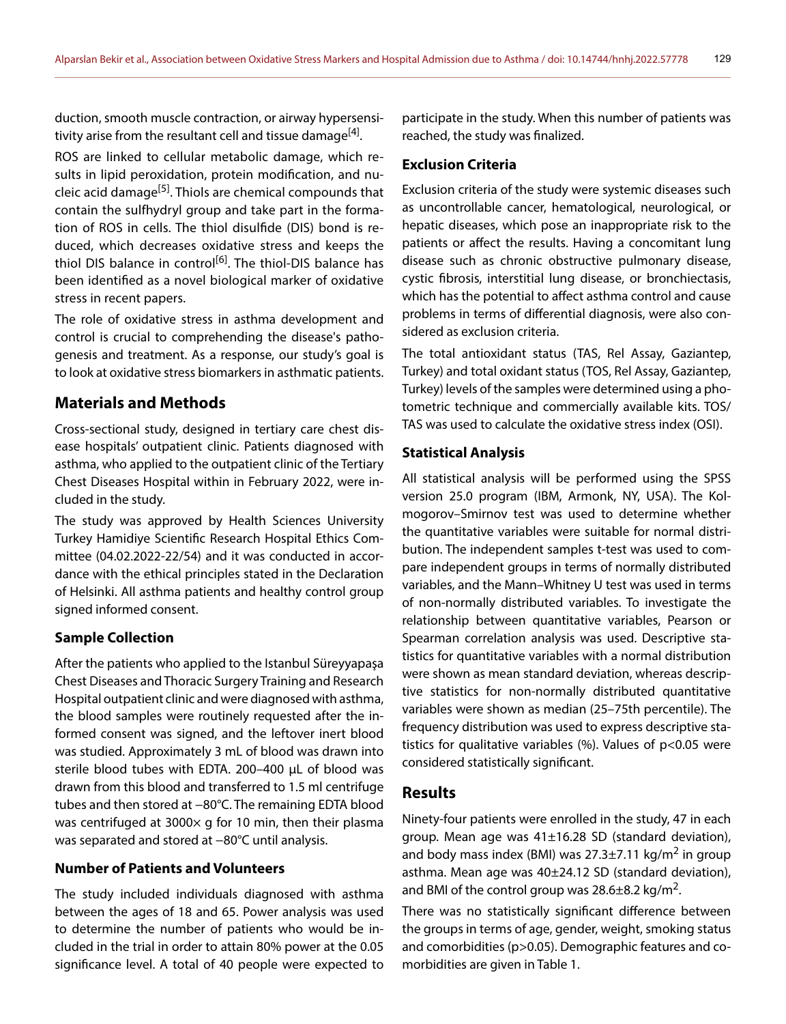duction, smooth muscle contraction, or airway hypersensitivity arise from the resultant cell and tissue damage<sup>[4]</sup>.

ROS are linked to cellular metabolic damage, which results in lipid peroxidation, protein modification, and nucleic acid damage<sup>[5]</sup>. Thiols are chemical compounds that contain the sulfhydryl group and take part in the formation of ROS in cells. The thiol disulfide (DIS) bond is reduced, which decreases oxidative stress and keeps the thiol DIS balance in control<sup>[6]</sup>. The thiol-DIS balance has been identified as a novel biological marker of oxidative stress in recent papers.

The role of oxidative stress in asthma development and control is crucial to comprehending the disease's pathogenesis and treatment. As a response, our study's goal is to look at oxidative stress biomarkers in asthmatic patients.

# **Materials and Methods**

Cross-sectional study, designed in tertiary care chest disease hospitals' outpatient clinic. Patients diagnosed with asthma, who applied to the outpatient clinic of the Tertiary Chest Diseases Hospital within in February 2022, were included in the study.

The study was approved by Health Sciences University Turkey Hamidiye Scientific Research Hospital Ethics Committee (04.02.2022-22/54) and it was conducted in accordance with the ethical principles stated in the Declaration of Helsinki. All asthma patients and healthy control group signed informed consent.

#### **Sample Collection**

After the patients who applied to the Istanbul Süreyyapaşa Chest Diseases and Thoracic Surgery Training and Research Hospital outpatient clinic and were diagnosed with asthma, the blood samples were routinely requested after the informed consent was signed, and the leftover inert blood was studied. Approximately 3 mL of blood was drawn into sterile blood tubes with EDTA. 200–400 μL of blood was drawn from this blood and transferred to 1.5 ml centrifuge tubes and then stored at −80°C. The remaining EDTA blood was centrifuged at 3000 $\times$  g for 10 min, then their plasma was separated and stored at -80°C until analysis.

#### **Number of Patients and Volunteers**

The study included individuals diagnosed with asthma between the ages of 18 and 65. Power analysis was used to determine the number of patients who would be included in the trial in order to attain 80% power at the 0.05 significance level. A total of 40 people were expected to

participate in the study. When this number of patients was reached, the study was finalized.

#### **Exclusion Criteria**

Exclusion criteria of the study were systemic diseases such as uncontrollable cancer, hematological, neurological, or hepatic diseases, which pose an inappropriate risk to the patients or affect the results. Having a concomitant lung disease such as chronic obstructive pulmonary disease, cystic fibrosis, interstitial lung disease, or bronchiectasis, which has the potential to affect asthma control and cause problems in terms of differential diagnosis, were also considered as exclusion criteria.

The total antioxidant status (TAS, Rel Assay, Gaziantep, Turkey) and total oxidant status (TOS, Rel Assay, Gaziantep, Turkey) levels of the samples were determined using a photometric technique and commercially available kits. TOS/ TAS was used to calculate the oxidative stress index (OSI).

#### **Statistical Analysis**

All statistical analysis will be performed using the SPSS version 25.0 program (IBM, Armonk, NY, USA). The Kolmogorov–Smirnov test was used to determine whether the quantitative variables were suitable for normal distribution. The independent samples t-test was used to compare independent groups in terms of normally distributed variables, and the Mann–Whitney U test was used in terms of non-normally distributed variables. To investigate the relationship between quantitative variables, Pearson or Spearman correlation analysis was used. Descriptive statistics for quantitative variables with a normal distribution were shown as mean standard deviation, whereas descriptive statistics for non-normally distributed quantitative variables were shown as median (25–75th percentile). The frequency distribution was used to express descriptive statistics for qualitative variables  $(\%)$ . Values of  $p<0.05$  were considered statistically significant.

# **Results**

Ninety-four patients were enrolled in the study, 47 in each group. Mean age was 41±16.28 SD (standard deviation), and body mass index (BMI) was  $27.3\pm7.11$  kg/m<sup>2</sup> in group asthma. Mean age was 40±24.12 SD (standard deviation), and BMI of the control group was  $28.6\pm8.2$  kg/m<sup>2</sup>.

There was no statistically significant difference between the groups in terms of age, gender, weight, smoking status and comorbidities (p>0.05). Demographic features and comorbidities are given in Table 1.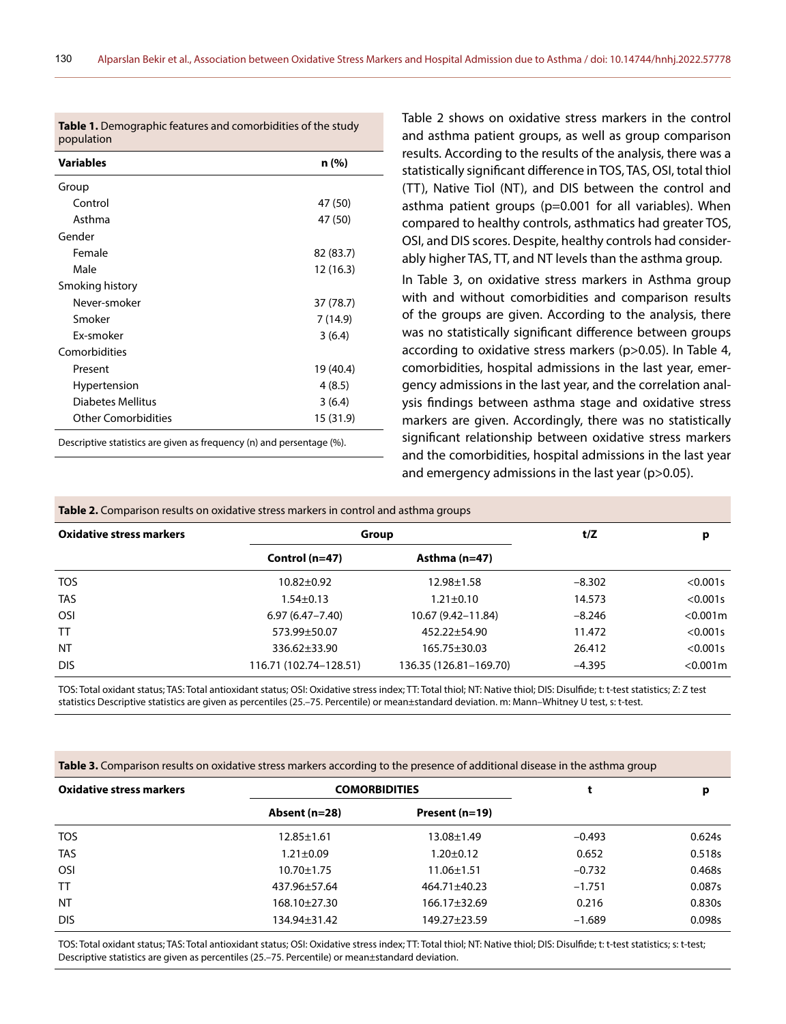| <b>Variables</b>           | n (%)     |
|----------------------------|-----------|
| Group                      |           |
| Control                    | 47 (50)   |
| Asthma                     | 47 (50)   |
| Gender                     |           |
| Female                     | 82 (83.7) |
| Male                       | 12(16.3)  |
| Smoking history            |           |
| Never-smoker               | 37 (78.7) |
| Smoker                     | 7(14.9)   |
| Ex-smoker                  | 3(6.4)    |
| Comorbidities              |           |
| Present                    | 19 (40.4) |
| Hypertension               | 4(8.5)    |
| Diabetes Mellitus          | 3(6.4)    |
| <b>Other Comorbidities</b> | 15 (31.9) |

**Table 1.** Demographic features and comorbidities of the study

Table 2 shows on oxidative stress markers in the control and asthma patient groups, as well as group comparison results. According to the results of the analysis, there was a statistically significant difference in TOS, TAS, OSI, total thiol (TT), Native Tiol (NT), and DIS between the control and asthma patient groups (p=0.001 for all variables). When compared to healthy controls, asthmatics had greater TOS, OSI, and DIS scores. Despite, healthy controls had considerably higher TAS, TT, and NT levels than the asthma group.

In Table 3, on oxidative stress markers in Asthma group with and without comorbidities and comparison results of the groups are given. According to the analysis, there was no statistically significant difference between groups according to oxidative stress markers (p>0.05). In Table 4, comorbidities, hospital admissions in the last year, emergency admissions in the last year, and the correlation analysis findings between asthma stage and oxidative stress markers are given. Accordingly, there was no statistically significant relationship between oxidative stress markers and the comorbidities, hospital admissions in the last year and emergency admissions in the last year (p>0.05).

| <b>Table 2.</b> Comparison results on oxidative stress markers in control and asthma groups |                        |                        |          |             |  |  |
|---------------------------------------------------------------------------------------------|------------------------|------------------------|----------|-------------|--|--|
| <b>Oxidative stress markers</b>                                                             | Group                  | t/Z                    | p        |             |  |  |
|                                                                                             | Control $(n=47)$       | Asthma $(n=47)$        |          |             |  |  |
| <b>TOS</b>                                                                                  | $10.82 \pm 0.92$       | $12.98 \pm 1.58$       | $-8.302$ | $< 0.001$ s |  |  |
| <b>TAS</b>                                                                                  | $1.54 \pm 0.13$        | $1.21 \pm 0.10$        | 14.573   | $< 0.001$ s |  |  |
| <b>OSI</b>                                                                                  | $6.97(6.47 - 7.40)$    | 10.67 (9.42–11.84)     | $-8.246$ | $< 0.001$ m |  |  |
| <b>TT</b>                                                                                   | 573.99±50.07           | $452.22 \pm 54.90$     | 11.472   | $< 0.001$ s |  |  |
| <b>NT</b>                                                                                   | $336.62 \pm 33.90$     | $165.75 \pm 30.03$     | 26.412   | $< 0.001$ s |  |  |
| <b>DIS</b>                                                                                  | 116.71 (102.74-128.51) | 136.35 (126.81-169.70) | $-4.395$ | $< 0.001$ m |  |  |

TOS: Total oxidant status; TAS: Total antioxidant status; OSI: Oxidative stress index; TT: Total thiol; NT: Native thiol; DIS: Disulfide; t: t-test statistics; Z: Z test statistics Descriptive statistics are given as percentiles (25.–75. Percentile) or mean±standard deviation. m: Mann–Whitney U test, s: t-test.

|  |  | Table 3. Comparison results on oxidative stress markers according to the presence of additional disease in the asthma group |  |
|--|--|-----------------------------------------------------------------------------------------------------------------------------|--|
|  |  |                                                                                                                             |  |
|  |  |                                                                                                                             |  |
|  |  |                                                                                                                             |  |

| <b>Oxidative stress markers</b> | <b>COMORBIDITIES</b> |                    |          | p      |  |
|---------------------------------|----------------------|--------------------|----------|--------|--|
|                                 | Absent (n=28)        | Present (n=19)     |          |        |  |
| <b>TOS</b>                      | $12.85 \pm 1.61$     | $13.08 \pm 1.49$   | $-0.493$ | 0.624s |  |
| <b>TAS</b>                      | $1.21 \pm 0.09$      | $1.20 \pm 0.12$    | 0.652    | 0.518s |  |
| OSI                             | $10.70 \pm 1.75$     | $11.06 \pm 1.51$   | $-0.732$ | 0.468s |  |
| <b>TT</b>                       | 437.96±57.64         | 464.71±40.23       | $-1.751$ | 0.087s |  |
| <b>NT</b>                       | 168.10±27.30         | $166.17 \pm 32.69$ | 0.216    | 0.830s |  |
| <b>DIS</b>                      | 134.94±31.42         | 149.27±23.59       | $-1.689$ | 0.098s |  |

TOS: Total oxidant status; TAS: Total antioxidant status; OSI: Oxidative stress index; TT: Total thiol; NT: Native thiol; DIS: Disulfide; t: t-test statistics; s: t-test; Descriptive statistics are given as percentiles (25.–75. Percentile) or mean±standard deviation.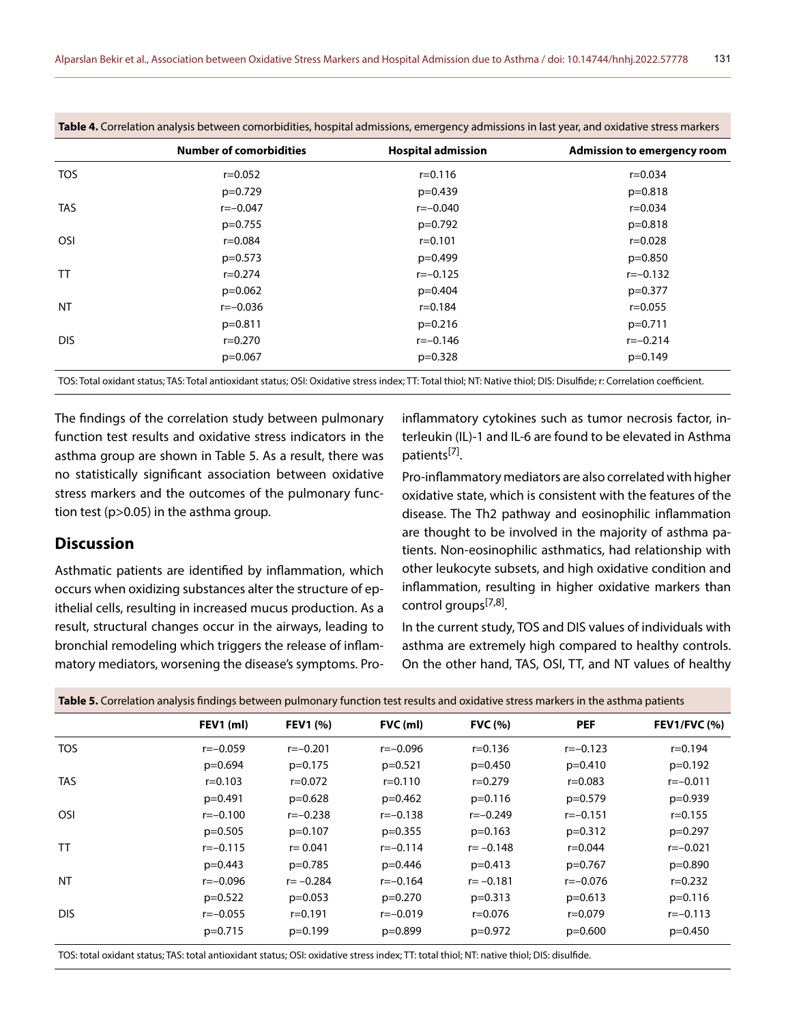|            | <b>Number of comorbidities</b> | <b>Hospital admission</b> | <b>Admission to emergency room</b> |
|------------|--------------------------------|---------------------------|------------------------------------|
| <b>TOS</b> | $r = 0.052$                    | $r = 0.116$               | $r = 0.034$                        |
|            | $p=0.729$                      | $p=0.439$                 | $p=0.818$                          |
| <b>TAS</b> | $r=-0.047$                     | $r=-0.040$                | $r = 0.034$                        |
|            | $p=0.755$                      | $p=0.792$                 | $p=0.818$                          |
| <b>OSI</b> | $r = 0.084$                    | $r = 0.101$               | $r = 0.028$                        |
|            | $p=0.573$                      | $p=0.499$                 | $p=0.850$                          |
| TT         | $r = 0.274$                    | $r=-0.125$                | $r=-0.132$                         |
|            | $p=0.062$                      | $p=0.404$                 | $p=0.377$                          |
| <b>NT</b>  | $r=-0.036$                     | $r = 0.184$               | $r = 0.055$                        |
|            | $p=0.811$                      | $p=0.216$                 | $p=0.711$                          |
| <b>DIS</b> | $r = 0.270$                    | $r=-0.146$                | $r=-0.214$                         |
|            | $p=0.067$                      | $p=0.328$                 | $p=0.149$                          |
|            |                                |                           |                                    |

**Table 4.** Correlation analysis between comorbidities, hospital admissions, emergency admissions in last year, and oxidative stress markers

TOS: Total oxidant status; TAS: Total antioxidant status; OSI: Oxidative stress index; TT: Total thiol; NT: Native thiol; DIS: Disulfide; r: Correlation coefficient.

The findings of the correlation study between pulmonary function test results and oxidative stress indicators in the asthma group are shown in Table 5. As a result, there was no statistically significant association between oxidative stress markers and the outcomes of the pulmonary function test (p>0.05) in the asthma group.

# **Discussion**

Asthmatic patients are identified by inflammation, which occurs when oxidizing substances alter the structure of epithelial cells, resulting in increased mucus production. As a result, structural changes occur in the airways, leading to bronchial remodeling which triggers the release of inflammatory mediators, worsening the disease's symptoms. Proinflammatory cytokines such as tumor necrosis factor, interleukin (IL)-1 and IL-6 are found to be elevated in Asthma patients[7].

Pro-inflammatory mediators are also correlated with higher oxidative state, which is consistent with the features of the disease. The Th2 pathway and eosinophilic inflammation are thought to be involved in the majority of asthma patients. Non-eosinophilic asthmatics, had relationship with other leukocyte subsets, and high oxidative condition and inflammation, resulting in higher oxidative markers than control groups<sup>[7,8]</sup>.

In the current study, TOS and DIS values of individuals with asthma are extremely high compared to healthy controls. On the other hand, TAS, OSI, TT, and NT values of healthy

|            | FEV1 (ml)   | <b>FEV1 (%)</b> | FVC (ml)    | <b>FVC</b> (%) | <b>PEF</b>  | <b>FEV1/FVC (%)</b> |
|------------|-------------|-----------------|-------------|----------------|-------------|---------------------|
| <b>TOS</b> | $r=-0.059$  | $r=-0.201$      | $r=-0.096$  | $r = 0.136$    | $r=-0.123$  | $r = 0.194$         |
|            | $p=0.694$   | $p=0.175$       | $p=0.521$   | $p=0.450$      | $p=0.410$   | $p=0.192$           |
| <b>TAS</b> | $r = 0.103$ | $r = 0.072$     | $r = 0.110$ | $r = 0.279$    | $r = 0.083$ | $r=-0.011$          |
|            | $p=0.491$   | $p=0.628$       | $p=0.462$   | $p=0.116$      | $p=0.579$   | $p=0.939$           |
| <b>OSI</b> | $r=-0.100$  | $r=-0.238$      | $r=-0.138$  | $r=-0.249$     | $r=-0.151$  | $r = 0.155$         |
|            | $p=0.505$   | $p=0.107$       | $p=0.355$   | $p=0.163$      | $p=0.312$   | $p=0.297$           |
| <b>TT</b>  | $r=-0.115$  | $r = 0.041$     | $r=-0.114$  | $r = -0.148$   | $r = 0.044$ | $r=-0.021$          |
|            | $p=0.443$   | $p=0.785$       | $p=0.446$   | $p=0.413$      | $p=0.767$   | $p=0.890$           |
| <b>NT</b>  | $r=-0.096$  | $r = -0.284$    | $r=-0.164$  | $r = -0.181$   | $r=-0.076$  | $r = 0.232$         |
|            | $p=0.522$   | $p=0.053$       | $p=0.270$   | $p=0.313$      | $p=0.613$   | $p=0.116$           |
| <b>DIS</b> | $r=-0.055$  | $r = 0.191$     | $r=-0.019$  | $r = 0.076$    | $r = 0.079$ | $r=-0.113$          |
|            | $p=0.715$   | $p=0.199$       | $p=0.899$   | $p=0.972$      | $p=0.600$   | $p=0.450$           |
|            |             |                 |             |                |             |                     |

**Table 5.** Correlation analysis findings between pulmonary function test results and oxidative stress markers in the asthma patients

TOS: total oxidant status; TAS: total antioxidant status; OSI: oxidative stress index; TT: total thiol; NT: native thiol; DIS: disulfide.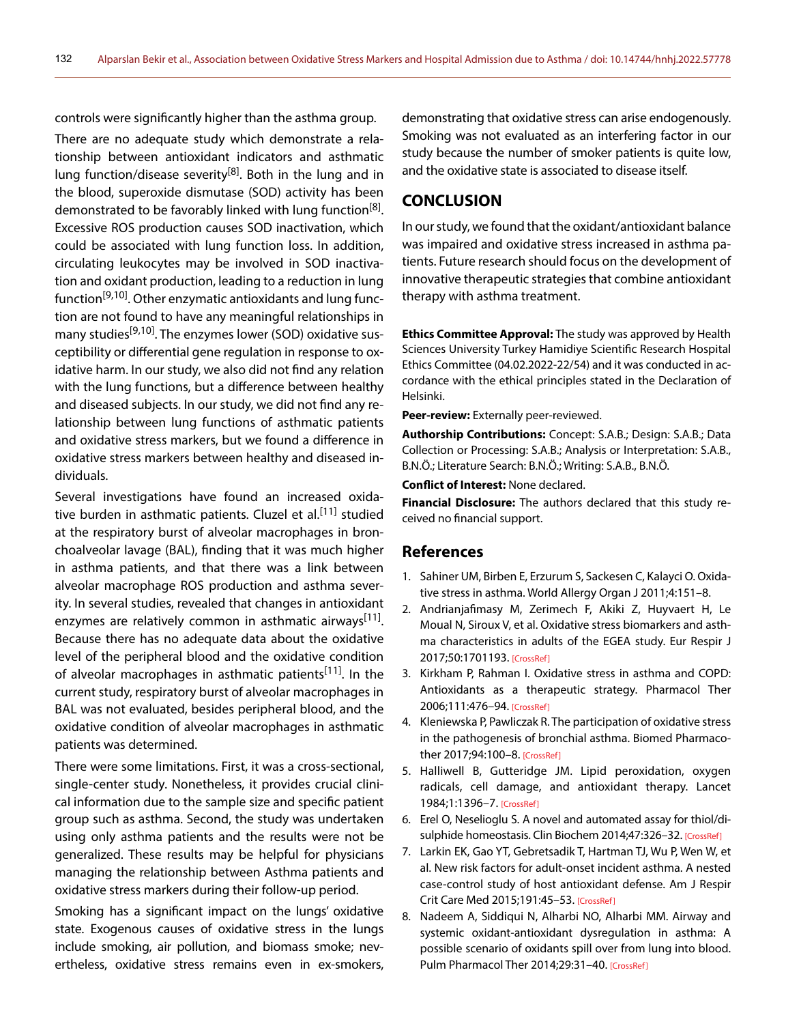controls were significantly higher than the asthma group.

There are no adequate study which demonstrate a relationship between antioxidant indicators and asthmatic lung function/disease severity<sup>[8]</sup>. Both in the lung and in the blood, superoxide dismutase (SOD) activity has been demonstrated to be favorably linked with lung function<sup>[8]</sup>. Excessive ROS production causes SOD inactivation, which could be associated with lung function loss. In addition, circulating leukocytes may be involved in SOD inactivation and oxidant production, leading to a reduction in lung function<sup>[9,10]</sup>. Other enzymatic antioxidants and lung function are not found to have any meaningful relationships in many studies<sup>[9,10]</sup>. The enzymes lower (SOD) oxidative susceptibility or differential gene regulation in response to oxidative harm. In our study, we also did not find any relation with the lung functions, but a difference between healthy and diseased subjects. In our study, we did not find any relationship between lung functions of asthmatic patients and oxidative stress markers, but we found a difference in oxidative stress markers between healthy and diseased individuals.

Several investigations have found an increased oxidative burden in asthmatic patients. Cluzel et al.<sup>[11]</sup> studied at the respiratory burst of alveolar macrophages in bronchoalveolar lavage (BAL), finding that it was much higher in asthma patients, and that there was a link between alveolar macrophage ROS production and asthma severity. In several studies, revealed that changes in antioxidant enzymes are relatively common in asthmatic airways<sup>[11]</sup>. Because there has no adequate data about the oxidative level of the peripheral blood and the oxidative condition of alveolar macrophages in asthmatic patients<sup>[11]</sup>. In the current study, respiratory burst of alveolar macrophages in BAL was not evaluated, besides peripheral blood, and the oxidative condition of alveolar macrophages in asthmatic patients was determined.

There were some limitations. First, it was a cross-sectional, single-center study. Nonetheless, it provides crucial clinical information due to the sample size and specific patient group such as asthma. Second, the study was undertaken using only asthma patients and the results were not be generalized. These results may be helpful for physicians managing the relationship between Asthma patients and oxidative stress markers during their follow-up period.

Smoking has a significant impact on the lungs' oxidative state. Exogenous causes of oxidative stress in the lungs include smoking, air pollution, and biomass smoke; nevertheless, oxidative stress remains even in ex-smokers, demonstrating that oxidative stress can arise endogenously. Smoking was not evaluated as an interfering factor in our study because the number of smoker patients is quite low, and the oxidative state is associated to disease itself.

# **CONCLUSION**

In our study, we found that the oxidant/antioxidant balance was impaired and oxidative stress increased in asthma patients. Future research should focus on the development of innovative therapeutic strategies that combine antioxidant therapy with asthma treatment.

**Ethics Committee Approval:** The study was approved by Health Sciences University Turkey Hamidiye Scientific Research Hospital Ethics Committee (04.02.2022-22/54) and it was conducted in accordance with the ethical principles stated in the Declaration of Helsinki.

**Peer-review:** Externally peer-reviewed.

**Authorship Contributions:** Concept: S.A.B.; Design: S.A.B.; Data Collection or Processing: S.A.B.; Analysis or Interpretation: S.A.B., B.N.Ö.; Literature Search: B.N.Ö.; Writing: S.A.B., B.N.Ö.

**Conflict of Interest:** None declared.

**Financial Disclosure:** The authors declared that this study received no financial support.

### **References**

- 1. Sahiner UM, Birben E, Erzurum S, Sackesen C, Kalayci O. Oxidative stress in asthma. World Allergy Organ J [2011;4:151–8.](https://doi.org/10.1097/WOX.0b013e318232389e)
- 2. Andrianjafimasy M, Zerimech F, Akiki Z, Huyvaert H, Le Moual N, Siroux V, et al. Oxidative stress biomarkers and asthma characteristics in adults of the EGEA study. Eur Respir J 2017;50:1701193. [\[CrossRef\]](https://doi.org/10.1183/13993003.01193-2017)
- 3. Kirkham P, Rahman I. Oxidative stress in asthma and COPD: Antioxidants as a therapeutic strategy. Pharmacol Ther 2006;111:476–94. [\[CrossRef\]](https://doi.org/10.1016/j.pharmthera.2005.10.015)
- 4. Kleniewska P, Pawliczak R. The participation of oxidative stress in the pathogenesis of bronchial asthma. Biomed Pharmacother 2017;94:100–8[. \[CrossRef\]](https://doi.org/10.1016/j.biopha.2017.07.066)
- 5. Halliwell B, Gutteridge JM. Lipid peroxidation, oxygen radicals, cell damage, and antioxidant therapy. Lancet 1984;1:1396–7. [\[CrossRef\]](https://doi.org/10.1016/S0140-6736(84)91886-5)
- 6. Erel O, Neselioglu S. A novel and automated assay for thiol/di-sulphide homeostasis. Clin Biochem 2014;47:326-32[. \[CrossRef\]](https://doi.org/10.1016/j.clinbiochem.2014.09.026)
- 7. Larkin EK, Gao YT, Gebretsadik T, Hartman TJ, Wu P, Wen W, et al. New risk factors for adult-onset incident asthma. A nested case-control study of host antioxidant defense. Am J Respir Crit Care Med 2015;191:45–53[. \[CrossRef\]](https://doi.org/10.1164/rccm.201405-0948OC)
- 8. Nadeem A, Siddiqui N, Alharbi NO, Alharbi MM. Airway and systemic oxidant-antioxidant dysregulation in asthma: A possible scenario of oxidants spill over from lung into blood. Pulm Pharmacol Ther 2014;29:31-40[. \[CrossRef\]](https://doi.org/10.1016/j.pupt.2014.06.001)